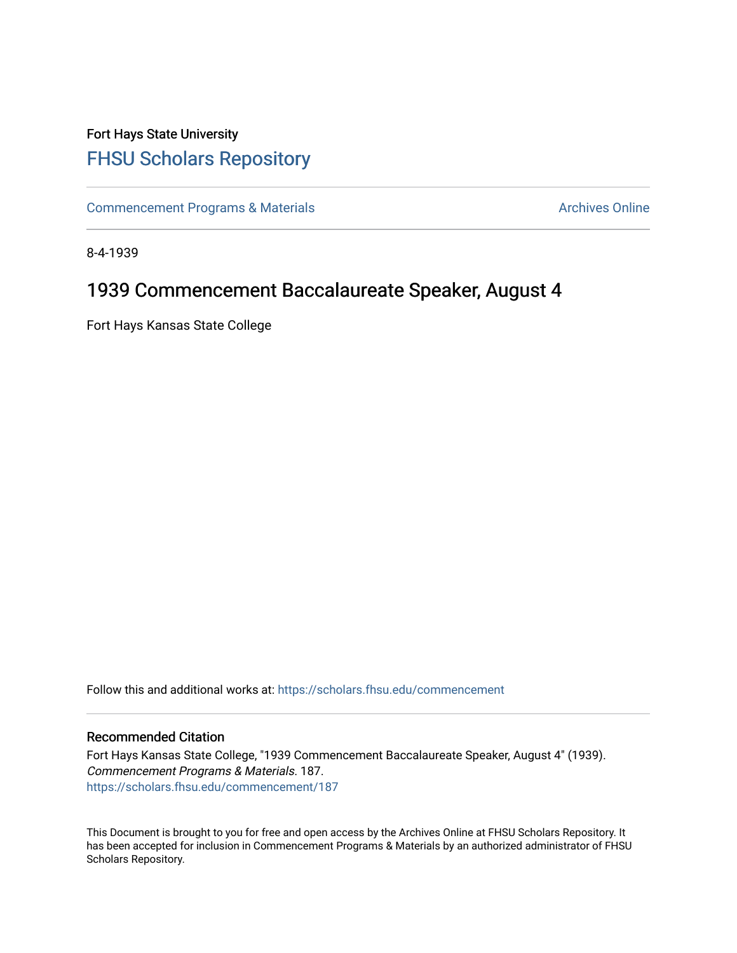## Fort Hays State University [FHSU Scholars Repository](https://scholars.fhsu.edu/)

[Commencement Programs & Materials](https://scholars.fhsu.edu/commencement) **Archives Online** Archives Online

8-4-1939

## 1939 Commencement Baccalaureate Speaker, August 4

Fort Hays Kansas State College

Follow this and additional works at: [https://scholars.fhsu.edu/commencement](https://scholars.fhsu.edu/commencement?utm_source=scholars.fhsu.edu%2Fcommencement%2F187&utm_medium=PDF&utm_campaign=PDFCoverPages)

## Recommended Citation

Fort Hays Kansas State College, "1939 Commencement Baccalaureate Speaker, August 4" (1939). Commencement Programs & Materials. 187. [https://scholars.fhsu.edu/commencement/187](https://scholars.fhsu.edu/commencement/187?utm_source=scholars.fhsu.edu%2Fcommencement%2F187&utm_medium=PDF&utm_campaign=PDFCoverPages)

This Document is brought to you for free and open access by the Archives Online at FHSU Scholars Repository. It has been accepted for inclusion in Commencement Programs & Materials by an authorized administrator of FHSU Scholars Repository.